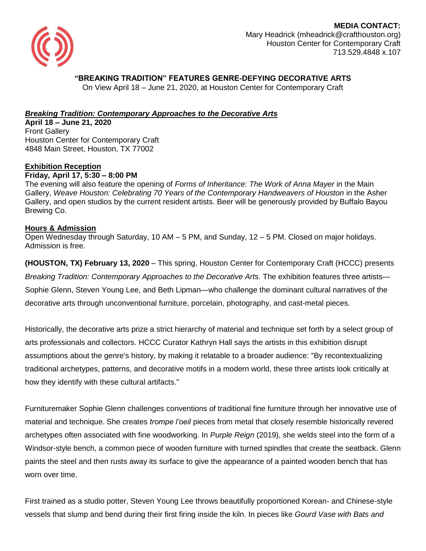

 **MEDIA CONTACT:** Mary Headrick (mheadrick@crafthouston.org) Houston Center for Contemporary Craft 713.529.4848 x.107

# **"BREAKING TRADITION" FEATURES GENRE-DEFYING DECORATIVE ARTS**

On View April 18 – June 21, 2020, at Houston Center for Contemporary Craft

## *Breaking Tradition: Contemporary Approaches to the Decorative Arts*

**April 18 – June 21, 2020** Front Gallery Houston Center for Contemporary Craft 4848 Main Street, Houston, TX 77002

### **Exhibition Reception**

#### **Friday, April 17, 5:30 – 8:00 PM**

The evening will also feature the opening of *Forms of Inheritance: The Work of Anna Mayer* in the Main Gallery, *Weave Houston: Celebrating 70 Years of the Contemporary Handweavers of Houston* in the Asher Gallery, and open studios by the current resident artists. Beer will be generously provided by Buffalo Bayou Brewing Co.

#### **Hours & Admission**

Open Wednesday through Saturday, 10 AM – 5 PM, and Sunday, 12 – 5 PM. Closed on major holidays. Admission is free.

**(HOUSTON, TX) February 13, 2020** – This spring, Houston Center for Contemporary Craft (HCCC) presents *Breaking Tradition: Contemporary Approaches to the Decorative Arts.* The exhibition features three artists— Sophie Glenn, Steven Young Lee, and Beth Lipman—who challenge the dominant cultural narratives of the decorative arts through unconventional furniture, porcelain, photography, and cast-metal pieces.

Historically, the decorative arts prize a strict hierarchy of material and technique set forth by a select group of arts professionals and collectors. HCCC Curator Kathryn Hall says the artists in this exhibition disrupt assumptions about the genre's history, by making it relatable to a broader audience: "By recontextualizing traditional archetypes, patterns, and decorative motifs in a modern world, these three artists look critically at how they identify with these cultural artifacts."

Furnituremaker Sophie Glenn challenges conventions of traditional fine furniture through her innovative use of material and technique. She creates *trompe l'oeil* pieces from metal that closely resemble historically revered archetypes often associated with fine woodworking. In *Purple Reign* (2019), she welds steel into the form of a Windsor-style bench, a common piece of wooden furniture with turned spindles that create the seatback. Glenn paints the steel and then rusts away its surface to give the appearance of a painted wooden bench that has worn over time.

First trained as a studio potter, Steven Young Lee throws beautifully proportioned Korean- and Chinese-style vessels that slump and bend during their first firing inside the kiln. In pieces like *Gourd Vase with Bats and*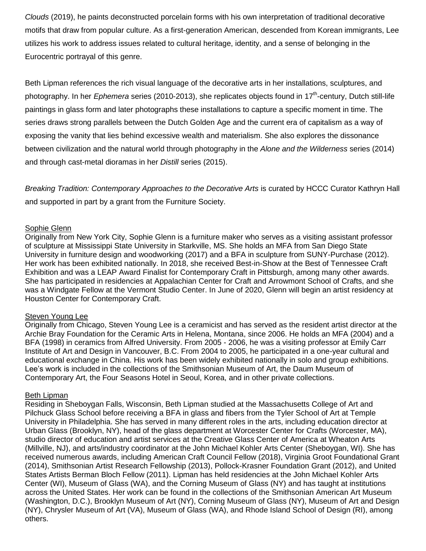*Clouds* (2019), he paints deconstructed porcelain forms with his own interpretation of traditional decorative motifs that draw from popular culture. As a first-generation American, descended from Korean immigrants, Lee utilizes his work to address issues related to cultural heritage, identity, and a sense of belonging in the Eurocentric portrayal of this genre.

Beth Lipman references the rich visual language of the decorative arts in her installations, sculptures, and photography. In her *Ephemera* series (2010-2013), she replicates objects found in 17<sup>th</sup>-century, Dutch still-life paintings in glass form and later photographs these installations to capture a specific moment in time. The series draws strong parallels between the Dutch Golden Age and the current era of capitalism as a way of exposing the vanity that lies behind excessive wealth and materialism. She also explores the dissonance between civilization and the natural world through photography in the *Alone and the Wilderness* series (2014) and through cast-metal dioramas in her *Distill* series (2015).

*Breaking Tradition: Contemporary Approaches to the Decorative Arts* is curated by HCCC Curator Kathryn Hall and supported in part by a grant from the Furniture Society.

#### Sophie Glenn

Originally from New York City, Sophie Glenn is a furniture maker who serves as a visiting assistant professor of sculpture at Mississippi State University in Starkville, MS. She holds an MFA from San Diego State University in furniture design and woodworking (2017) and a BFA in sculpture from SUNY-Purchase (2012). Her work has been exhibited nationally. In 2018, she received Best-in-Show at the Best of Tennessee Craft Exhibition and was a LEAP Award Finalist for Contemporary Craft in Pittsburgh, among many other awards. She has participated in residencies at Appalachian Center for Craft and Arrowmont School of Crafts, and she was a Windgate Fellow at the Vermont Studio Center. In June of 2020, Glenn will begin an artist residency at Houston Center for Contemporary Craft.

#### Steven Young Lee

Originally from Chicago, Steven Young Lee is a ceramicist and has served as the resident artist director at the Archie Bray Foundation for the Ceramic Arts in Helena, Montana, since 2006. He holds an MFA (2004) and a BFA (1998) in ceramics from Alfred University. From 2005 - 2006, he was a visiting professor at Emily Carr Institute of Art and Design in Vancouver, B.C. From 2004 to 2005, he participated in a one-year cultural and educational exchange in China. His work has been widely exhibited nationally in solo and group exhibitions. Lee's work is included in the collections of the Smithsonian Museum of Art, the Daum Museum of Contemporary Art, the Four Seasons Hotel in Seoul, Korea, and in other private collections.

#### Beth Lipman

Residing in Sheboygan Falls, Wisconsin, Beth Lipman studied at the Massachusetts College of Art and Pilchuck Glass School before receiving a BFA in glass and fibers from the Tyler School of Art at Temple University in Philadelphia. She has served in many different roles in the arts, including education director at Urban Glass (Brooklyn, NY), head of the glass department at Worcester Center for Crafts (Worcester, MA), studio director of education and artist services at the Creative Glass Center of America at Wheaton Arts (Millville, NJ), and arts/industry coordinator at the John Michael Kohler Arts Center (Sheboygan, WI). She has received numerous awards, including American Craft Council Fellow (2018), Virginia Groot Foundational Grant (2014), Smithsonian Artist Research Fellowship (2013), Pollock-Krasner Foundation Grant (2012), and United States Artists Berman Bloch Fellow (2011). Lipman has held residencies at the John Michael Kohler Arts Center (WI), Museum of Glass (WA), and the Corning Museum of Glass (NY) and has taught at institutions across the United States. Her work can be found in the collections of the Smithsonian American Art Museum (Washington, D.C.), Brooklyn Museum of Art (NY), Corning Museum of Glass (NY), Museum of Art and Design (NY), Chrysler Museum of Art (VA), Museum of Glass (WA), and Rhode Island School of Design (RI), among others.